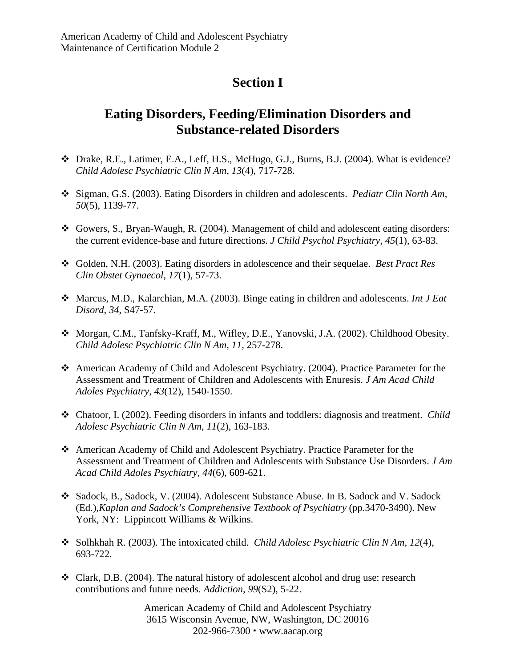## **Section I**

## **Eating Disorders, Feeding/Elimination Disorders and Substance-related Disorders**

- Drake, R.E., Latimer, E.A., Leff, H.S., McHugo, G.J., Burns, B.J. (2004). What is evidence? *Child Adolesc Psychiatric Clin N Am, 13*(4), 717-728.
- Sigman, G.S. (2003). Eating Disorders in children and adolescents. *Pediatr Clin North Am, 50*(5), 1139-77.
- Gowers, S., Bryan-Waugh, R. (2004). Management of child and adolescent eating disorders: the current evidence-base and future directions. *J Child Psychol Psychiatry, 45*(1), 63-83.
- Golden, N.H. (2003). Eating disorders in adolescence and their sequelae. *Best Pract Res Clin Obstet Gynaecol*, *17*(1), 57-73.
- Marcus, M.D., Kalarchian, M.A. (2003). Binge eating in children and adolescents. *Int J Eat Disord*, *34*, S47-57.
- Morgan, C.M., Tanfsky-Kraff, M., Wifley, D.E., Yanovski, J.A. (2002). Childhood Obesity. *Child Adolesc Psychiatric Clin N Am, 11*, 257-278.
- American Academy of Child and Adolescent Psychiatry. (2004). Practice Parameter for the Assessment and Treatment of Children and Adolescents with Enuresis. *J Am Acad Child Adoles Psychiatry*, *43*(12), 1540-1550.
- Chatoor, I. (2002). Feeding disorders in infants and toddlers: diagnosis and treatment. *Child Adolesc Psychiatric Clin N Am, 11*(2), 163-183.
- American Academy of Child and Adolescent Psychiatry. Practice Parameter for the Assessment and Treatment of Children and Adolescents with Substance Use Disorders. *J Am Acad Child Adoles Psychiatry*, *44*(6), 609-621.
- Sadock, B., Sadock, V. (2004). Adolescent Substance Abuse. In B. Sadock and V. Sadock (Ed.),*Kaplan and Sadock's Comprehensive Textbook of Psychiatry* (pp.3470-3490). New York, NY: Lippincott Williams & Wilkins.
- Solhkhah R. (2003). The intoxicated child. *Child Adolesc Psychiatric Clin N Am, 12*(4), 693-722.
- $\triangleleft$  Clark, D.B. (2004). The natural history of adolescent alcohol and drug use: research contributions and future needs. *Addiction, 99*(S2), 5-22.

American Academy of Child and Adolescent Psychiatry 3615 Wisconsin Avenue, NW, Washington, DC 20016 202-966-7300 www.aacap.org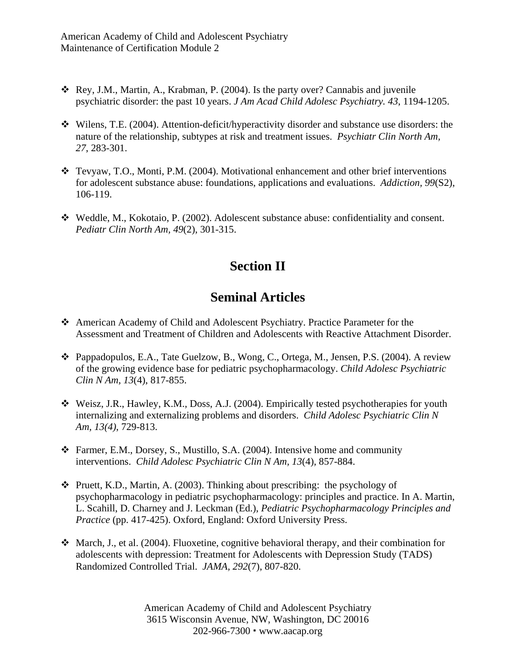- Rey, J.M., Martin, A., Krabman, P. (2004). Is the party over? Cannabis and juvenile psychiatric disorder: the past 10 years. *J Am Acad Child Adolesc Psychiatry. 43*, 1194-1205.
- Wilens, T.E. (2004). Attention-deficit/hyperactivity disorder and substance use disorders: the nature of the relationship, subtypes at risk and treatment issues. *Psychiatr Clin North Am, 27*, 283-301.
- Tevyaw, T.O., Monti, P.M. (2004). Motivational enhancement and other brief interventions for adolescent substance abuse: foundations, applications and evaluations. *Addiction, 99*(S2), 106-119.
- Weddle, M., Kokotaio, P. (2002). Adolescent substance abuse: confidentiality and consent. *Pediatr Clin North Am, 49*(2), 301-315.

## **Section II**

## **Seminal Articles**

- American Academy of Child and Adolescent Psychiatry. Practice Parameter for the Assessment and Treatment of Children and Adolescents with Reactive Attachment Disorder.
- Pappadopulos, E.A., Tate Guelzow, B., Wong, C., Ortega, M., Jensen, P.S. (2004). A review of the growing evidence base for pediatric psychopharmacology. *Child Adolesc Psychiatric Clin N Am, 13*(4), 817-855.
- Weisz, J.R., Hawley, K.M., Doss, A.J. (2004). Empirically tested psychotherapies for youth internalizing and externalizing problems and disorders. *Child Adolesc Psychiatric Clin N Am, 13(4)*, 729-813.
- Farmer, E.M., Dorsey, S., Mustillo, S.A. (2004). Intensive home and community interventions. *Child Adolesc Psychiatric Clin N Am, 13*(4), 857-884.
- $\triangle$  Pruett, K.D., Martin, A. (2003). Thinking about prescribing: the psychology of psychopharmacology in pediatric psychopharmacology: principles and practice. In A. Martin, L. Scahill, D. Charney and J. Leckman (Ed.), *Pediatric Psychopharmacology Principles and Practice* (pp. 417-425). Oxford, England: Oxford University Press.
- $\triangleleft$  March, J., et al. (2004). Fluoxetine, cognitive behavioral therapy, and their combination for adolescents with depression: Treatment for Adolescents with Depression Study (TADS) Randomized Controlled Trial. *JAMA, 292*(7), 807-820.

American Academy of Child and Adolescent Psychiatry 3615 Wisconsin Avenue, NW, Washington, DC 20016 202-966-7300 www.aacap.org